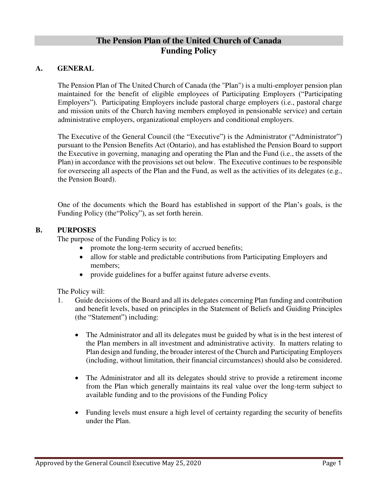# **The Pension Plan of the United Church of Canada Funding Policy**

#### **A. GENERAL**

The Pension Plan of The United Church of Canada (the "Plan") is a multi-employer pension plan maintained for the benefit of eligible employees of Participating Employers ("Participating Employers"). Participating Employers include pastoral charge employers (i.e., pastoral charge and mission units of the Church having members employed in pensionable service) and certain administrative employers, organizational employers and conditional employers.

The Executive of the General Council (the "Executive") is the Administrator ("Administrator") pursuant to the Pension Benefits Act (Ontario), and has established the Pension Board to support the Executive in governing, managing and operating the Plan and the Fund (i.e., the assets of the Plan) in accordance with the provisions set out below. The Executive continues to be responsible for overseeing all aspects of the Plan and the Fund, as well as the activities of its delegates (e.g., the Pension Board).

One of the documents which the Board has established in support of the Plan's goals, is the Funding Policy (the"Policy"), as set forth herein.

#### **B. PURPOSES**

The purpose of the Funding Policy is to:

- promote the long-term security of accrued benefits;
- allow for stable and predictable contributions from Participating Employers and members;
- provide guidelines for a buffer against future adverse events.

The Policy will:

- 1. Guide decisions of the Board and all its delegates concerning Plan funding and contribution and benefit levels, based on principles in the Statement of Beliefs and Guiding Principles (the "Statement") including:
	- The Administrator and all its delegates must be guided by what is in the best interest of the Plan members in all investment and administrative activity. In matters relating to Plan design and funding, the broader interest of the Church and Participating Employers (including, without limitation, their financial circumstances) should also be considered.
	- The Administrator and all its delegates should strive to provide a retirement income from the Plan which generally maintains its real value over the long-term subject to available funding and to the provisions of the Funding Policy
	- Funding levels must ensure a high level of certainty regarding the security of benefits under the Plan.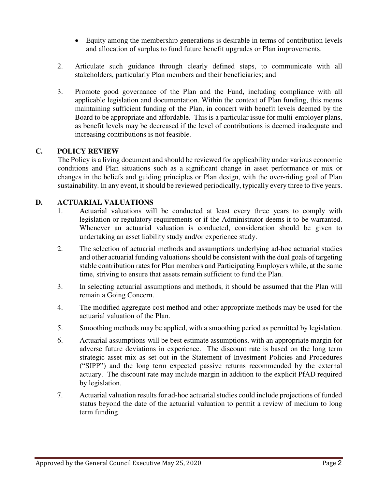- Equity among the membership generations is desirable in terms of contribution levels and allocation of surplus to fund future benefit upgrades or Plan improvements.
- 2. Articulate such guidance through clearly defined steps, to communicate with all stakeholders, particularly Plan members and their beneficiaries; and
- 3. Promote good governance of the Plan and the Fund, including compliance with all applicable legislation and documentation. Within the context of Plan funding, this means maintaining sufficient funding of the Plan, in concert with benefit levels deemed by the Board to be appropriate and affordable. This is a particular issue for multi-employer plans, as benefit levels may be decreased if the level of contributions is deemed inadequate and increasing contributions is not feasible.

## **C. POLICY REVIEW**

The Policy is a living document and should be reviewed for applicability under various economic conditions and Plan situations such as a significant change in asset performance or mix or changes in the beliefs and guiding principles or Plan design, with the over-riding goal of Plan sustainability. In any event, it should be reviewed periodically, typically every three to five years.

### **D. ACTUARIAL VALUATIONS**

- 1. Actuarial valuations will be conducted at least every three years to comply with legislation or regulatory requirements or if the Administrator deems it to be warranted. Whenever an actuarial valuation is conducted, consideration should be given to undertaking an asset liability study and/or experience study.
- 2. The selection of actuarial methods and assumptions underlying ad-hoc actuarial studies and other actuarial funding valuations should be consistent with the dual goals of targeting stable contribution rates for Plan members and Participating Employers while, at the same time, striving to ensure that assets remain sufficient to fund the Plan.
- 3. In selecting actuarial assumptions and methods, it should be assumed that the Plan will remain a Going Concern.
- 4. The modified aggregate cost method and other appropriate methods may be used for the actuarial valuation of the Plan.
- 5. Smoothing methods may be applied, with a smoothing period as permitted by legislation.
- 6. Actuarial assumptions will be best estimate assumptions, with an appropriate margin for adverse future deviations in experience. The discount rate is based on the long term strategic asset mix as set out in the Statement of Investment Policies and Procedures ("SIPP") and the long term expected passive returns recommended by the external actuary. The discount rate may include margin in addition to the explicit PfAD required by legislation.
- 7. Actuarial valuation results for ad-hoc actuarial studies could include projections of funded status beyond the date of the actuarial valuation to permit a review of medium to long term funding.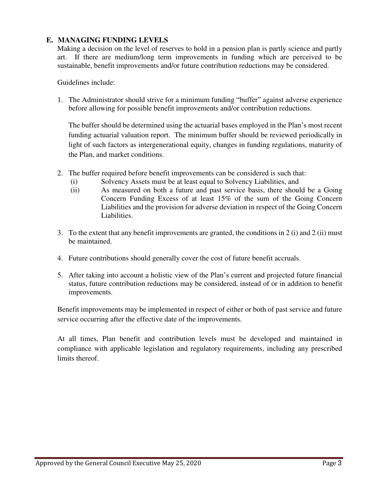### **E. MANAGING FUNDING LEVELS**

Making a decision on the level of reserves to hold in a pension plan is partly science and partly art. If there are medium/long term improvements in funding which are perceived to be sustainable, benefit improvements and/or future contribution reductions may be considered.

Guidelines include:

1. The Administrator should strive for a minimum funding "buffer" against adverse experience before allowing for possible benefit improvements and/or contribution reductions.

The buffer should be determined using the actuarial bases employed in the Plan's most recent funding actuarial valuation report. The minimum buffer should be reviewed periodically in light of such factors as intergenerational equity, changes in funding regulations, maturity of the Plan, and market conditions.

- 2. The buffer required before benefit improvements can be considered is such that:
	- (i) Solvency Assets must be at least equal to Solvency Liabilities, and
	- (ii) As measured on both a future and past service basis, there should be a Going Concern Funding Excess of at least 15% of the sum of the Going Concern Liabilities and the provision for adverse deviation in respect of the Going Concern Liabilities.
- 3. To the extent that any benefit improvements are granted, the conditions in 2 (i) and 2 (ii) must be maintained.
- 4. Future contributions should generally cover the cost of future benefit accruals.
- 5. After taking into account a holistic view of the Plan's current and projected future financial status, future contribution reductions may be considered, instead of or in addition to benefit improvements.

Benefit improvements may be implemented in respect of either or both of past service and future service occurring after the effective date of the improvements.

At all times, Plan benefit and contribution levels must be developed and maintained in compliance with applicable legislation and regulatory requirements, including any prescribed limits thereof.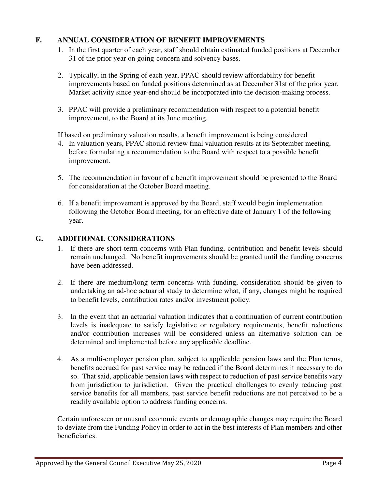### **F. ANNUAL CONSIDERATION OF BENEFIT IMPROVEMENTS**

- 1. In the first quarter of each year, staff should obtain estimated funded positions at December 31 of the prior year on going-concern and solvency bases.
- 2. Typically, in the Spring of each year, PPAC should review affordability for benefit improvements based on funded positions determined as at December 31st of the prior year. Market activity since year-end should be incorporated into the decision-making process.
- 3. PPAC will provide a preliminary recommendation with respect to a potential benefit improvement, to the Board at its June meeting.

If based on preliminary valuation results, a benefit improvement is being considered

- 4. In valuation years, PPAC should review final valuation results at its September meeting, before formulating a recommendation to the Board with respect to a possible benefit improvement.
- 5. The recommendation in favour of a benefit improvement should be presented to the Board for consideration at the October Board meeting.
- 6. If a benefit improvement is approved by the Board, staff would begin implementation following the October Board meeting, for an effective date of January 1 of the following year.

#### **G. ADDITIONAL CONSIDERATIONS**

- 1. If there are short-term concerns with Plan funding, contribution and benefit levels should remain unchanged. No benefit improvements should be granted until the funding concerns have been addressed.
- 2. If there are medium/long term concerns with funding, consideration should be given to undertaking an ad-hoc actuarial study to determine what, if any, changes might be required to benefit levels, contribution rates and/or investment policy.
- 3. In the event that an actuarial valuation indicates that a continuation of current contribution levels is inadequate to satisfy legislative or regulatory requirements, benefit reductions and/or contribution increases will be considered unless an alternative solution can be determined and implemented before any applicable deadline.
- 4. As a multi-employer pension plan, subject to applicable pension laws and the Plan terms, benefits accrued for past service may be reduced if the Board determines it necessary to do so. That said, applicable pension laws with respect to reduction of past service benefits vary from jurisdiction to jurisdiction. Given the practical challenges to evenly reducing past service benefits for all members, past service benefit reductions are not perceived to be a readily available option to address funding concerns.

Certain unforeseen or unusual economic events or demographic changes may require the Board to deviate from the Funding Policy in order to act in the best interests of Plan members and other beneficiaries.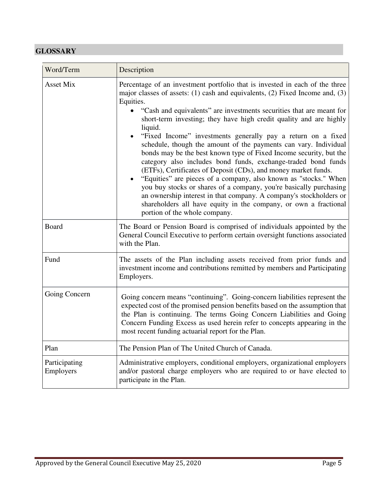# **GLOSSARY**

| Word/Term                  | Description                                                                                                                                                                                                                                                                                                                                                                                                                                                                                                                                                                                                                                                                                                                                                                                                                                                                                                                                                                                               |
|----------------------------|-----------------------------------------------------------------------------------------------------------------------------------------------------------------------------------------------------------------------------------------------------------------------------------------------------------------------------------------------------------------------------------------------------------------------------------------------------------------------------------------------------------------------------------------------------------------------------------------------------------------------------------------------------------------------------------------------------------------------------------------------------------------------------------------------------------------------------------------------------------------------------------------------------------------------------------------------------------------------------------------------------------|
| Asset Mix                  | Percentage of an investment portfolio that is invested in each of the three<br>major classes of assets: $(1)$ cash and equivalents, $(2)$ Fixed Income and, $(3)$<br>Equities.<br>"Cash and equivalents" are investments securities that are meant for<br>short-term investing; they have high credit quality and are highly<br>liquid.<br>"Fixed Income" investments generally pay a return on a fixed<br>schedule, though the amount of the payments can vary. Individual<br>bonds may be the best known type of Fixed Income security, but the<br>category also includes bond funds, exchange-traded bond funds<br>(ETFs), Certificates of Deposit (CDs), and money market funds.<br>"Equities" are pieces of a company, also known as "stocks." When<br>you buy stocks or shares of a company, you're basically purchasing<br>an ownership interest in that company. A company's stockholders or<br>shareholders all have equity in the company, or own a fractional<br>portion of the whole company. |
| Board                      | The Board or Pension Board is comprised of individuals appointed by the<br>General Council Executive to perform certain oversight functions associated<br>with the Plan.                                                                                                                                                                                                                                                                                                                                                                                                                                                                                                                                                                                                                                                                                                                                                                                                                                  |
| Fund                       | The assets of the Plan including assets received from prior funds and<br>investment income and contributions remitted by members and Participating<br>Employers.                                                                                                                                                                                                                                                                                                                                                                                                                                                                                                                                                                                                                                                                                                                                                                                                                                          |
| Going Concern              | Going concern means "continuing". Going-concern liabilities represent the<br>expected cost of the promised pension benefits based on the assumption that<br>the Plan is continuing. The terms Going Concern Liabilities and Going<br>Concern Funding Excess as used herein refer to concepts appearing in the<br>most recent funding actuarial report for the Plan.                                                                                                                                                                                                                                                                                                                                                                                                                                                                                                                                                                                                                                       |
| Plan                       | The Pension Plan of The United Church of Canada.                                                                                                                                                                                                                                                                                                                                                                                                                                                                                                                                                                                                                                                                                                                                                                                                                                                                                                                                                          |
| Participating<br>Employers | Administrative employers, conditional employers, organizational employers<br>and/or pastoral charge employers who are required to or have elected to<br>participate in the Plan.                                                                                                                                                                                                                                                                                                                                                                                                                                                                                                                                                                                                                                                                                                                                                                                                                          |